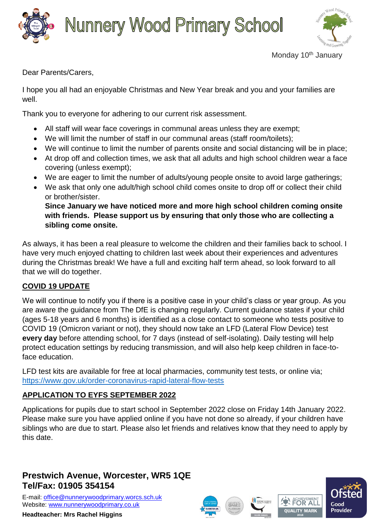



Dear Parents/Carers,

I hope you all had an enjoyable Christmas and New Year break and you and your families are well.

Thank you to everyone for adhering to our current risk assessment.

- All staff will wear face coverings in communal areas unless they are exempt;
- We will limit the number of staff in our communal areas (staff room/toilets);
- We will continue to limit the number of parents onsite and social distancing will be in place;
- At drop off and collection times, we ask that all adults and high school children wear a face covering (unless exempt);
- We are eager to limit the number of adults/young people onsite to avoid large gatherings;
- We ask that only one adult/high school child comes onsite to drop off or collect their child or brother/sister. **Since January we have noticed more and more high school children coming onsite with friends. Please support us by ensuring that only those who are collecting a sibling come onsite.**

As always, it has been a real pleasure to welcome the children and their families back to school. I have very much enjoyed chatting to children last week about their experiences and adventures during the Christmas break! We have a full and exciting half term ahead, so look forward to all that we will do together.

## **COVID 19 UPDATE**

We will continue to notify you if there is a positive case in your child's class or year group. As you are aware the guidance from The DfE is changing regularly. Current guidance states if your child (ages 5-18 years and 6 months) is identified as a close contact to someone who tests positive to COVID 19 (Omicron variant or not), they should now take an LFD (Lateral Flow Device) test **every day** before attending school, for 7 days (instead of self-isolating). Daily testing will help protect education settings by reducing transmission, and will also help keep children in face-toface education.

LFD test kits are available for free at local pharmacies, community test tests, or online via; <https://www.gov.uk/order-coronavirus-rapid-lateral-flow-tests>

## **APPLICATION TO EYFS SEPTEMBER 2022**

Applications for pupils due to start school in September 2022 close on Friday 14th January 2022. Please make sure you have applied online if you have not done so already, if your children have siblings who are due to start. Please also let friends and relatives know that they need to apply by this date.

## **Prestwich Avenue, Worcester, WR5 1QE Tel/Fax: 01905 354154**

E-mail: [office@nunnerywoodprimary.worcs.sch.uk](mailto:office@nunnerywoodprimary.worcs.sch.uk) Website: [www.nunnerywoodprimary.co.uk](http://www.nunnerywoodprimary.worcs.sch.uk/)